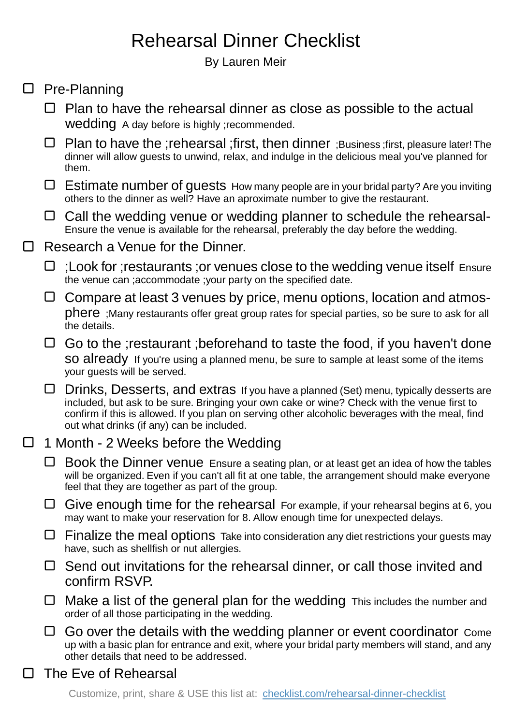## Rehearsal Dinner Checklist

By Lauren Meir

 $\Box$ 

 $\Box$ 

 $\Box$ 

| $\Box$                               | Plan to have the rehearsal dinner as close as possible to the actual<br>Wedding A day before is highly ; recommended.                                                                                                                                                                                                                 |
|--------------------------------------|---------------------------------------------------------------------------------------------------------------------------------------------------------------------------------------------------------------------------------------------------------------------------------------------------------------------------------------|
| $\Box$                               | Plan to have the ; rehearsal ; first, then dinner ; Business ; first, pleasure later! The<br>dinner will allow guests to unwind, relax, and indulge in the delicious meal you've planned for<br>them.                                                                                                                                 |
| ⊔                                    | <b>Estimate number of guests</b> How many people are in your bridal party? Are you inviting<br>others to the dinner as well? Have an aproximate number to give the restaurant.                                                                                                                                                        |
| ⊔                                    | Call the wedding venue or wedding planner to schedule the rehearsal-<br>Ensure the venue is available for the rehearsal, preferably the day before the wedding.                                                                                                                                                                       |
| Research a Venue for the Dinner.     |                                                                                                                                                                                                                                                                                                                                       |
| ⊔                                    | ; Look for ; restaurants ; or venues close to the wedding venue itself Ensure<br>the venue can ; accommodate ; your party on the specified date.                                                                                                                                                                                      |
| ⊔                                    | Compare at least 3 venues by price, menu options, location and atmos-<br>phere ; Many restaurants offer great group rates for special parties, so be sure to ask for all<br>the details.                                                                                                                                              |
| ⊔                                    | Go to the ; restaurant ; beforehand to taste the food, if you haven't done<br>SO already If you're using a planned menu, be sure to sample at least some of the items<br>your guests will be served.                                                                                                                                  |
| ⊔                                    | Drinks, Desserts, and extras If you have a planned (Set) menu, typically desserts are<br>included, but ask to be sure. Bringing your own cake or wine? Check with the venue first to<br>confirm if this is allowed. If you plan on serving other alcoholic beverages with the meal, find<br>out what drinks (if any) can be included. |
| 1 Month - 2 Weeks before the Wedding |                                                                                                                                                                                                                                                                                                                                       |
| ⊔                                    | Book the Dinner venue Ensure a seating plan, or at least get an idea of how the tables<br>will be organized. Even if you can't all fit at one table, the arrangement should make everyone<br>feel that they are together as part of the group.                                                                                        |
| ⊔                                    | Give enough time for the rehearsal For example, if your rehearsal begins at 6, you<br>may want to make your reservation for 8. Allow enough time for unexpected delays.                                                                                                                                                               |
| ⊔                                    | Finalize the meal options Take into consideration any diet restrictions your guests may<br>have, such as shellfish or nut allergies.                                                                                                                                                                                                  |
| $\Box$                               | Send out invitations for the rehearsal dinner, or call those invited and<br>confirm RSVP.                                                                                                                                                                                                                                             |
| ⊔                                    | Make a list of the general plan for the wedding This includes the number and<br>order of all those participating in the wedding.                                                                                                                                                                                                      |
| 凵                                    | Go over the details with the wedding planner or event coordinator Come<br>up with a basic plan for entrance and exit, where your bridal party members will stand, and any<br>other details that need to be addressed.                                                                                                                 |
| The Eve of Rehearsal                 |                                                                                                                                                                                                                                                                                                                                       |
|                                      | Customize, print, share & USE this list at: checklist.com/rehearsal-dinner-checklist                                                                                                                                                                                                                                                  |